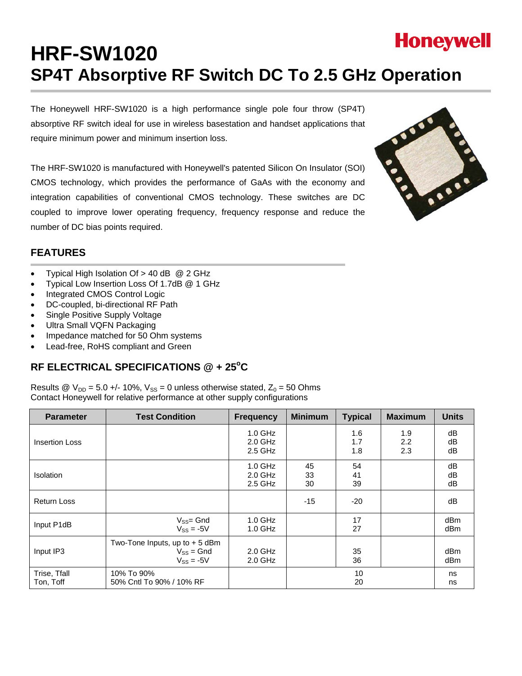# **Honeywell HRF-SW1020 SP4T Absorptive RF Switch DC To 2.5 GHz Operation**

The Honeywell HRF-SW1020 is a high performance single pole four throw (SP4T) absorptive RF switch ideal for use in wireless basestation and handset applications that require minimum power and minimum insertion loss.

The HRF-SW1020 is manufactured with Honeywell's patented Silicon On Insulator (SOI) CMOS technology, which provides the performance of GaAs with the economy and integration capabilities of conventional CMOS technology. These switches are DC coupled to improve lower operating frequency, frequency response and reduce the number of DC bias points required.



# **FEATURES**

- Typical High Isolation Of > 40 dB @ 2 GHz
- Typical Low Insertion Loss Of 1.7dB @ 1 GHz
- Integrated CMOS Control Logic
- DC-coupled, bi-directional RF Path
- Single Positive Supply Voltage
- Ultra Small VQFN Packaging
- Impedance matched for 50 Ohm systems
- Lead-free, RoHS compliant and Green

# RF ELECTRICAL SPECIFICATIONS @ + 25°C

Results @  $V_{DD} = 5.0 +/- 10\%$ ,  $V_{SS} = 0$  unless otherwise stated,  $Z_0 = 50$  Ohms Contact Honeywell for relative performance at other supply configurations

| <b>Parameter</b>          | <b>Test Condition</b>                                               | <b>Frequency</b>                  | <b>Minimum</b> | <b>Typical</b>    | <b>Maximum</b>    | <b>Units</b>           |
|---------------------------|---------------------------------------------------------------------|-----------------------------------|----------------|-------------------|-------------------|------------------------|
| <b>Insertion Loss</b>     |                                                                     | $1.0$ GHz<br>$2.0$ GHz<br>2.5 GHz |                | 1.6<br>1.7<br>1.8 | 1.9<br>2.2<br>2.3 | dB<br>dB<br>dB         |
| <b>Isolation</b>          |                                                                     | $1.0$ GHz<br>$2.0$ GHz<br>2.5 GHz | 45<br>33<br>30 | 54<br>41<br>39    |                   | dB<br>dB<br>dB         |
| <b>Return Loss</b>        |                                                                     |                                   | $-15$          | $-20$             |                   | dB                     |
| Input P1dB                | $V_{SS} = Gnd$<br>$V_{SS} = -5V$                                    | $1.0$ GHz<br>$1.0$ GHz            |                | 17<br>27          |                   | dB <sub>m</sub><br>dBm |
| Input IP3                 | Two-Tone Inputs, up to $+5$ dBm<br>$V_{SS} = Gnd$<br>$V_{SS} = -5V$ | $2.0$ GHz<br>$2.0$ GHz            |                | 35<br>36          |                   | dBm<br>dBm             |
| Trise, Tfall<br>Ton, Toff | 10% To 90%<br>50% Cntl To 90% / 10% RF                              |                                   |                | 10<br>20          |                   | ns<br>ns               |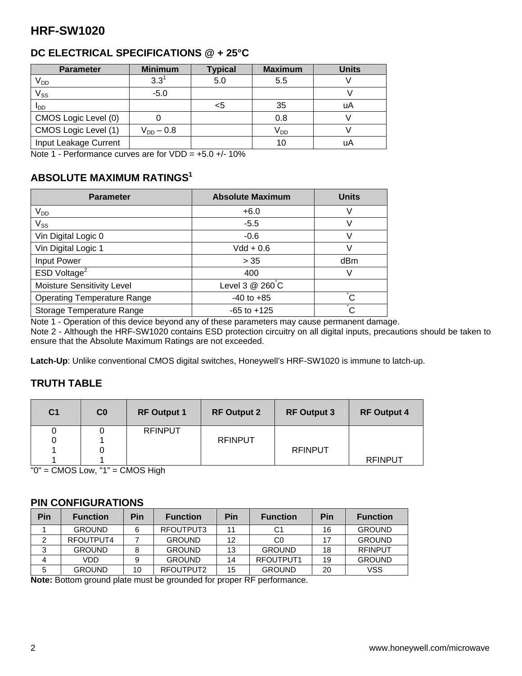# **DC ELECTRICAL SPECIFICATIONS @ + 25°C**

| <b>Parameter</b>      | <b>Minimum</b> | <b>Typical</b> | <b>Maximum</b>  | <b>Units</b> |
|-----------------------|----------------|----------------|-----------------|--------------|
| $V_{DD}$              | $3.3^1$        | 5.0            | 5.5             |              |
| $V_{SS}$              | $-5.0$         |                |                 |              |
| I <sub>DD</sub>       |                | <5             | -35             | uA           |
| CMOS Logic Level (0)  |                |                | 0.8             |              |
| CMOS Logic Level (1)  | $V_{DD} - 0.8$ |                | V <sub>DD</sub> |              |
| Input Leakage Current |                |                | 10              | uA           |

Note 1 - Performance curves are for  $VDD = +5.0 +/- 10\%$ 

# **ABSOLUTE MAXIMUM RATINGS1**

| <b>Parameter</b>                   | <b>Absolute Maximum</b> | <b>Units</b>    |
|------------------------------------|-------------------------|-----------------|
| $V_{DD}$                           | $+6.0$                  | V               |
| $V_{SS}$                           | $-5.5$                  |                 |
| Vin Digital Logic 0                | $-0.6$                  |                 |
| Vin Digital Logic 1                | $Vdd + 0.6$             |                 |
| Input Power                        | > 35                    | dB <sub>m</sub> |
| ESD Voltage <sup>2</sup>           | 400                     |                 |
| Moisture Sensitivity Level         | Level 3 @ 260°C         |                 |
| <b>Operating Temperature Range</b> | $-40$ to $+85$          | $\overline{C}$  |
| Storage Temperature Range          | $-65$ to $+125$         | $\circ$         |

Note 1 - Operation of this device beyond any of these parameters may cause permanent damage.

Note 2 - Although the HRF-SW1020 contains ESD protection circuitry on all digital inputs, precautions should be taken to ensure that the Absolute Maximum Ratings are not exceeded.

**Latch-Up**: Unlike conventional CMOS digital switches, Honeywell's HRF-SW1020 is immune to latch-up.

# **TRUTH TABLE**

| C <sub>1</sub> | C <sub>0</sub> | <b>RF Output 1</b> | <b>RF Output 2</b> | <b>RF Output 3</b> | <b>RF Output 4</b> |
|----------------|----------------|--------------------|--------------------|--------------------|--------------------|
|                |                | <b>RFINPUT</b>     |                    |                    |                    |
| 0              |                |                    | <b>RFINPUT</b>     |                    |                    |
|                |                |                    |                    | <b>RFINPUT</b>     |                    |
|                |                |                    |                    |                    | <b>RFINPUT</b>     |

"0" = CMOS Low, "1" = CMOS High

### **PIN CONFIGURATIONS**

| Pin | <b>Function</b> | Pin | <b>Function</b> | <b>Pin</b> | <b>Function</b> | Pin | <b>Function</b> |
|-----|-----------------|-----|-----------------|------------|-----------------|-----|-----------------|
|     | <b>GROUND</b>   |     | RFOUTPUT3       | 11         | C1              | 16  | <b>GROUND</b>   |
|     | RFOUTPUT4       |     | <b>GROUND</b>   | 12         | C <sub>0</sub>  | 17  | <b>GROUND</b>   |
|     | <b>GROUND</b>   |     | <b>GROUND</b>   | 13         | <b>GROUND</b>   | 18  | <b>RFINPUT</b>  |
|     | VDD             |     | <b>GROUND</b>   | 14         | RFOUTPUT1       | 19  | <b>GROUND</b>   |
|     | <b>GROUND</b>   | 10  | RFOUTPUT2       | 15         | <b>GROUND</b>   | 20  | VSS             |

**Note:** Bottom ground plate must be grounded for proper RF performance.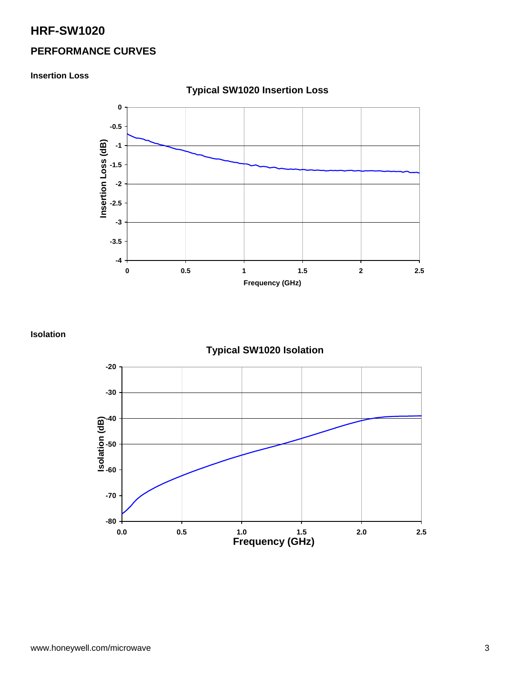# **PERFORMANCE CURVES**

**Insertion Loss** 



**Typical SW1020 Insertion Loss** 

**Isolation** 

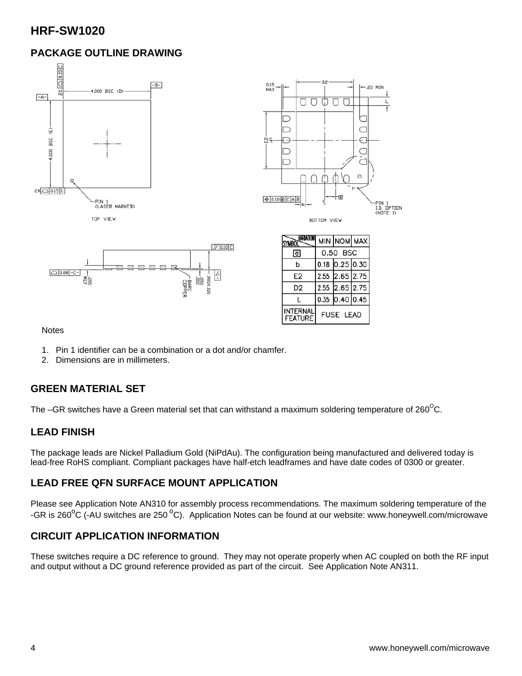# **PACKAGE OUTLINE DRAWING**





| <b>SYMBO</b>                      |                  | MIN NOM MAX      |  |
|-----------------------------------|------------------|------------------|--|
| le.                               | 0.50 BSC         |                  |  |
| b                                 |                  | $0.18$ 0.25 0.30 |  |
| E <sub>2</sub>                    |                  | 2.55 2.65 2.75   |  |
| D <sub>2</sub>                    |                  | 2.55 2.65 2.75   |  |
|                                   |                  | $0.35$ 0.40 0.45 |  |
| <b>INTERNAL</b><br><b>FEATURE</b> | <b>FUSE LEAD</b> |                  |  |

#### **Notes**

- 1. Pin 1 identifier can be a combination or a dot and/or chamfer.
- 2. Dimensions are in millimeters.

# **GREEN MATERIAL SET**

The –GR switches have a Green material set that can withstand a maximum soldering temperature of 260 $\mathrm{^{\circ}C}$ .

# **LEAD FINISH**

The package leads are Nickel Palladium Gold (NiPdAu). The configuration being manufactured and delivered today is lead-free RoHS compliant. Compliant packages have half-etch leadframes and have date codes of 0300 or greater.

# **LEAD FREE QFN SURFACE MOUNT APPLICATION**

Please see Application Note AN310 for assembly process recommendations. The maximum soldering temperature of the -GR is 260<sup>o</sup>C (-AU switches are 250<sup>o</sup>C). Application Notes can be found at our website: www.honeywell.com/microwave

# **CIRCUIT APPLICATION INFORMATION**

These switches require a DC reference to ground. They may not operate properly when AC coupled on both the RF input and output without a DC ground reference provided as part of the circuit. See Application Note AN311.